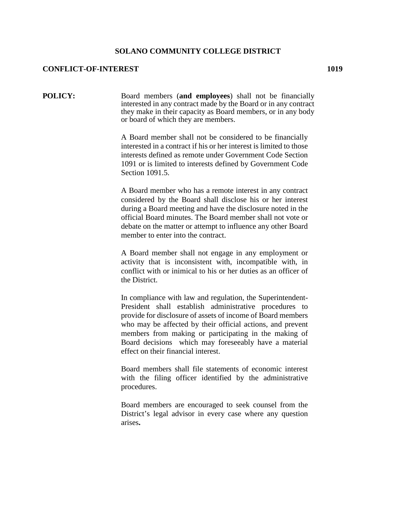## **SOLANO COMMUNITY COLLEGE DISTRICT**

## **CONFLICT-OF-INTEREST 1019**

**POLICY:** Board members (**and employees**) shall not be financially interested in any contract made by the Board or in any contract they make in their capacity as Board members, or in any body or board of which they are members.

> A Board member shall not be considered to be financially interested in a contract if his or her interest is limited to those interests defined as remote under Government Code Section 1091 or is limited to interests defined by Government Code Section 1091.5.

> A Board member who has a remote interest in any contract considered by the Board shall disclose his or her interest during a Board meeting and have the disclosure noted in the official Board minutes. The Board member shall not vote or debate on the matter or attempt to influence any other Board member to enter into the contract.

> A Board member shall not engage in any employment or activity that is inconsistent with, incompatible with, in conflict with or inimical to his or her duties as an officer of the District.

> In compliance with law and regulation, the Superintendent-President shall establish administrative procedures to provide for disclosure of assets of income of Board members who may be affected by their official actions, and prevent members from making or participating in the making of Board decisions which may foreseeably have a material effect on their financial interest.

> Board members shall file statements of economic interest with the filing officer identified by the administrative procedures.

> Board members are encouraged to seek counsel from the District's legal advisor in every case where any question arises**.**